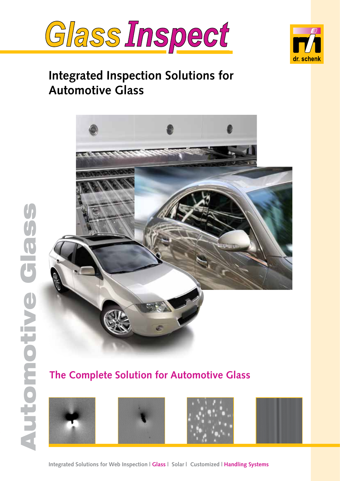



# **Integrated Inspection Solutions for Automotive Glass**



# **The Complete Solution for Automotive Glass**









**Integrated Solutions for Web Inspection | Glass | Solar | Customized | Handling Systems**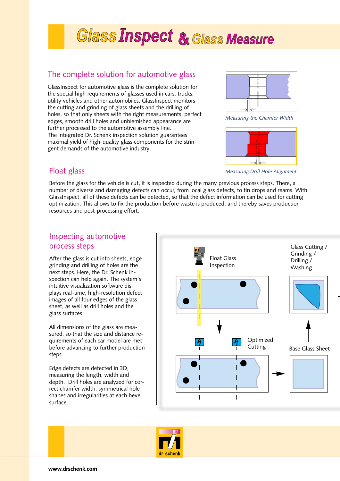# **Glass Inspect & Glass Measure**

### The complete solution for automotive glass

GlassInspect for automotive glass is the complete solution for the special high requirements of glasses used in cars, trucks, utility vehicles and other automobiles. GlassInspect monitors the cutting and grinding of glass sheets and the drilling of holes, so that only sheets with the right measurements, perfect edges, smooth drill holes and unblemished appearance are further processed to the automotive assembly line. The integrated Dr. Schenk inspection solution guarantees maximal yield of high-quality glass components for the stringent demands of the automotive industry.



*Measuring the Chamfer Width*



*Measuring Drill Hole Alignment*

### Float glass

Before the glass for the vehicle is cut, it is inspected during the many previous process steps. There, a number of diverse and damaging defects can occur, from local glass defects, to tin drops and reams. With GlassInspect, all of these defects can be detected, so that the defect information can be used for cutting optimization. This allows to fix the production before waste is produced, and thereby saves production resources and post-processing effort.

### Inspecting automotive process steps

After the glass is cut into sheets, edge grinding and drilling of holes are the next steps. Here, the Dr. Schenk inspection can help again. The system's intuitive visualization software displays real-time, high-resolution defect images of all four edges of the glass sheet, as well as drill holes and the glass surfaces.

All dimensions of the glass are measured, so that the size and distance requirements of each car model are met before advancing to further production steps.

Edge defects are detected in 3D, measuring the length, width and depth. Drill holes are analyzed for correct chamfer width, symmetrical hole shapes and irregularities at each bevel surface.



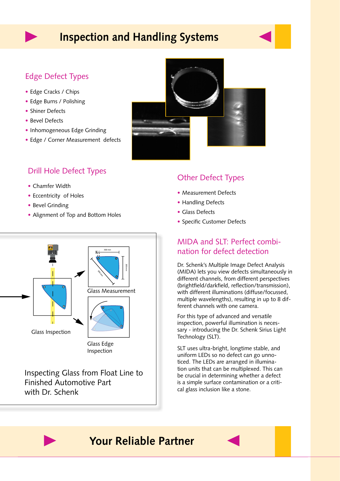# **Inspection and Handling Systems**

### Edge Defect Types

- Edge Cracks / Chips
- Edge Burns / Polishing
- Shiner Defects
- Bevel Defects
- Inhomogeneous Edge Grinding
- Edge / Corner Measurement defects

### Drill Hole Defect Types

- Chamfer Width
- Eccentricity of Holes
- Bevel Grinding
- Alignment of Top and Bottom Holes



Inspecting Glass from Float Line to Finished Automotive Part with Dr. Schenk

### Other Defect Types

- Measurement Defects
- Handling Defects
- Glass Defects
- • Specific Customer Defects

### MIDA and SLT: Perfect combination for defect detection

Dr. Schenk's Multiple Image Defect Analysis (MIDA) lets you view defects simultaneously in different channels, from different perspectives (brightfield/darkfield, reflection/transmission), with different illuminations (diffuse/focussed, multiple wavelengths), resulting in up to 8 different channels with one camera.

For this type of advanced and versatile inspection, powerful illumination is necessary - introducing the Dr. Schenk Sirius Light Technology (SLT).

SLT uses ultra-bright, longtime stable, and uniform LEDs so no defect can go unnoticed. The LEDs are arranged in illumination units that can be multiplexed. This can be crucial in determining whether a defect is a simple surface contamination or a critical glass inclusion like a stone.

## **Your Reliable Partner**